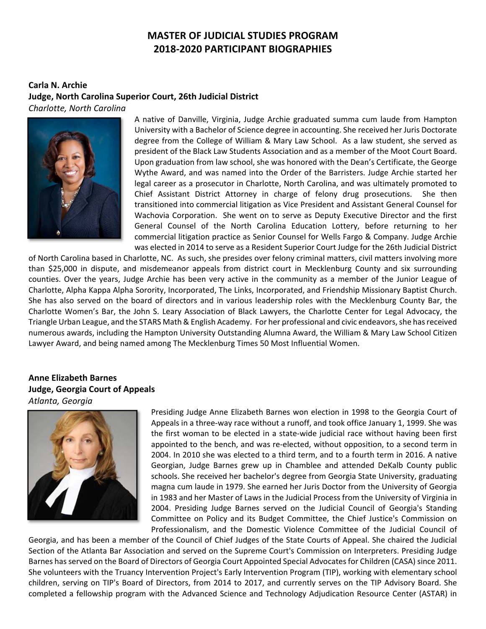### **MASTER OF JUDICIAL STUDIES PROGRAM 2018‐2020 PARTICIPANT BIOGRAPHIES**

#### **Carla N. Archie Judge, North Carolina Superior Court, 26th Judicial District**  *Charlotte, North Carolina*



A native of Danville, Virginia, Judge Archie graduated summa cum laude from Hampton University with a Bachelor of Science degree in accounting. She received her Juris Doctorate degree from the College of William & Mary Law School. As a law student, she served as president of the Black Law Students Association and as a member of the Moot Court Board. Upon graduation from law school, she was honored with the Dean's Certificate, the George Wythe Award, and was named into the Order of the Barristers. Judge Archie started her legal career as a prosecutor in Charlotte, North Carolina, and was ultimately promoted to Chief Assistant District Attorney in charge of felony drug prosecutions. She then transitioned into commercial litigation as Vice President and Assistant General Counsel for Wachovia Corporation. She went on to serve as Deputy Executive Director and the first General Counsel of the North Carolina Education Lottery, before returning to her commercial litigation practice as Senior Counsel for Wells Fargo & Company. Judge Archie was elected in 2014 to serve as a Resident Superior Court Judge for the 26th Judicial District

of North Carolina based in Charlotte, NC. As such, she presides over felony criminal matters, civil matters involving more than \$25,000 in dispute, and misdemeanor appeals from district court in Mecklenburg County and six surrounding counties. Over the years, Judge Archie has been very active in the community as a member of the Junior League of Charlotte, Alpha Kappa Alpha Sorority, Incorporated, The Links, Incorporated, and Friendship Missionary Baptist Church. She has also served on the board of directors and in various leadership roles with the Mecklenburg County Bar, the Charlotte Women's Bar, the John S. Leary Association of Black Lawyers, the Charlotte Center for Legal Advocacy, the Triangle Urban League, and the STARS Math & English Academy. For her professional and civic endeavors, she has received numerous awards, including the Hampton University Outstanding Alumna Award, the William & Mary Law School Citizen Lawyer Award, and being named among The Mecklenburg Times 50 Most Influential Women.

#### **Anne Elizabeth Barnes Judge, Georgia Court of Appeals**  *Atlanta, Georgia*



Presiding Judge Anne Elizabeth Barnes won election in 1998 to the Georgia Court of Appeals in a three‐way race without a runoff, and took office January 1, 1999. She was the first woman to be elected in a state‐wide judicial race without having been first appointed to the bench, and was re‐elected, without opposition, to a second term in 2004. In 2010 she was elected to a third term, and to a fourth term in 2016. A native Georgian, Judge Barnes grew up in Chamblee and attended DeKalb County public schools. She received her bachelor's degree from Georgia State University, graduating magna cum laude in 1979. She earned her Juris Doctor from the University of Georgia in 1983 and her Master of Laws in the Judicial Process from the University of Virginia in 2004. Presiding Judge Barnes served on the Judicial Council of Georgia's Standing Committee on Policy and its Budget Committee, the Chief Justice's Commission on Professionalism, and the Domestic Violence Committee of the Judicial Council of

Georgia, and has been a member of the Council of Chief Judges of the State Courts of Appeal. She chaired the Judicial Section of the Atlanta Bar Association and served on the Supreme Court's Commission on Interpreters. Presiding Judge Barnes has served on the Board of Directors of Georgia Court Appointed Special Advocates for Children (CASA) since 2011. She volunteers with the Truancy Intervention Project's Early Intervention Program (TIP), working with elementary school children, serving on TIP's Board of Directors, from 2014 to 2017, and currently serves on the TIP Advisory Board. She completed a fellowship program with the Advanced Science and Technology Adjudication Resource Center (ASTAR) in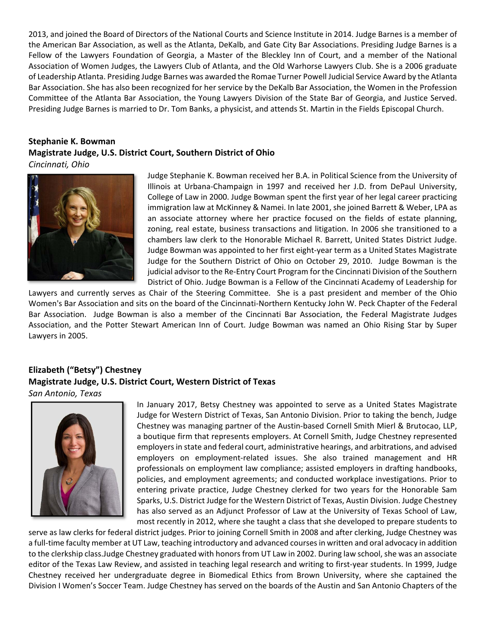2013, and joined the Board of Directors of the National Courts and Science Institute in 2014. Judge Barnes is a member of the American Bar Association, as well as the Atlanta, DeKalb, and Gate City Bar Associations. Presiding Judge Barnes is a Fellow of the Lawyers Foundation of Georgia, a Master of the Bleckley Inn of Court, and a member of the National Association of Women Judges, the Lawyers Club of Atlanta, and the Old Warhorse Lawyers Club. She is a 2006 graduate of Leadership Atlanta. Presiding Judge Barnes was awarded the Romae Turner Powell Judicial Service Award by the Atlanta Bar Association. She has also been recognized for her service by the DeKalb Bar Association, the Women in the Profession Committee of the Atlanta Bar Association, the Young Lawyers Division of the State Bar of Georgia, and Justice Served. Presiding Judge Barnes is married to Dr. Tom Banks, a physicist, and attends St. Martin in the Fields Episcopal Church.

#### **Stephanie K. Bowman Magistrate Judge, U.S. District Court, Southern District of Ohio**  *Cincinnati, Ohio*



Judge Stephanie K. Bowman received her B.A. in Political Science from the University of Illinois at Urbana‐Champaign in 1997 and received her J.D. from DePaul University, College of Law in 2000. Judge Bowman spent the first year of her legal career practicing immigration law at McKinney & Namei. In late 2001, she joined Barrett & Weber, LPA as an associate attorney where her practice focused on the fields of estate planning, zoning, real estate, business transactions and litigation. In 2006 she transitioned to a chambers law clerk to the Honorable Michael R. Barrett, United States District Judge. Judge Bowman was appointed to her first eight‐year term as a United States Magistrate Judge for the Southern District of Ohio on October 29, 2010. Judge Bowman is the judicial advisor to the Re‐Entry Court Program for the Cincinnati Division of the Southern District of Ohio. Judge Bowman is a Fellow of the Cincinnati Academy of Leadership for

Lawyers and currently serves as Chair of the Steering Committee. She is a past president and member of the Ohio Women's Bar Association and sits on the board of the Cincinnati‐Northern Kentucky John W. Peck Chapter of the Federal Bar Association. Judge Bowman is also a member of the Cincinnati Bar Association, the Federal Magistrate Judges Association, and the Potter Stewart American Inn of Court. Judge Bowman was named an Ohio Rising Star by Super Lawyers in 2005.

#### **Elizabeth ("Betsy") Chestney Magistrate Judge, U.S. District Court, Western District of Texas**  *San Antonio, Texas*



In January 2017, Betsy Chestney was appointed to serve as a United States Magistrate Judge for Western District of Texas, San Antonio Division. Prior to taking the bench, Judge Chestney was managing partner of the Austin‐based Cornell Smith Mierl & Brutocao, LLP, a boutique firm that represents employers. At Cornell Smith, Judge Chestney represented employers in state and federal court, administrative hearings, and arbitrations, and advised employers on employment‐related issues. She also trained management and HR professionals on employment law compliance; assisted employers in drafting handbooks, policies, and employment agreements; and conducted workplace investigations. Prior to entering private practice, Judge Chestney clerked for two years for the Honorable Sam Sparks, U.S. District Judge for the Western District of Texas, Austin Division. Judge Chestney has also served as an Adjunct Professor of Law at the University of Texas School of Law, most recently in 2012, where she taught a class that she developed to prepare students to

serve as law clerks for federal district judges. Prior to joining Cornell Smith in 2008 and after clerking, Judge Chestney was a full-time faculty member at UT Law, teaching introductory and advanced courses in written and oral advocacy in addition to the clerkship class.Judge Chestney graduated with honors from UT Law in 2002. During law school, she was an associate editor of the Texas Law Review, and assisted in teaching legal research and writing to first-year students. In 1999, Judge Chestney received her undergraduate degree in Biomedical Ethics from Brown University, where she captained the Division I Women's Soccer Team. Judge Chestney has served on the boards of the Austin and San Antonio Chapters of the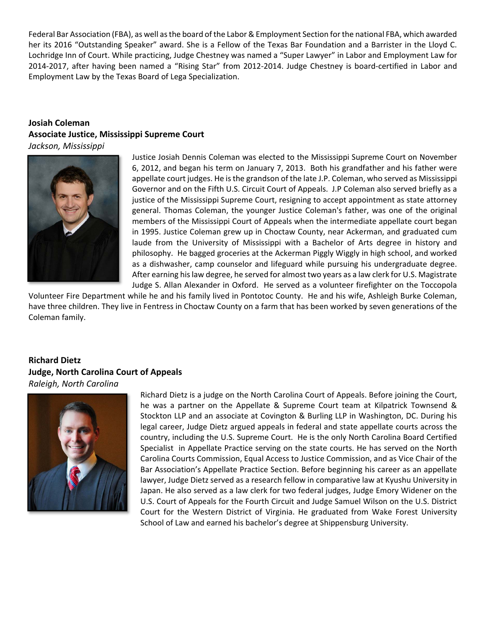Federal Bar Association (FBA), as well as the board of the Labor & Employment Section for the national FBA, which awarded her its 2016 "Outstanding Speaker" award. She is a Fellow of the Texas Bar Foundation and a Barrister in the Lloyd C. Lochridge Inn of Court. While practicing, Judge Chestney was named a "Super Lawyer" in Labor and Employment Law for 2014-2017, after having been named a "Rising Star" from 2012-2014. Judge Chestney is board-certified in Labor and Employment Law by the Texas Board of Lega Specialization.

# **Josiah Coleman Associate Justice, Mississippi Supreme Court**

*Jackson, Mississippi* 



Justice Josiah Dennis Coleman was elected to the Mississippi Supreme Court on November 6, 2012, and began his term on January 7, 2013. Both his grandfather and his father were appellate court judges. He is the grandson of the late J.P. Coleman, who served as Mississippi Governor and on the Fifth U.S. Circuit Court of Appeals. J.P Coleman also served briefly as a justice of the Mississippi Supreme Court, resigning to accept appointment as state attorney general. Thomas Coleman, the younger Justice Coleman's father, was one of the original members of the Mississippi Court of Appeals when the intermediate appellate court began in 1995. Justice Coleman grew up in Choctaw County, near Ackerman, and graduated cum laude from the University of Mississippi with a Bachelor of Arts degree in history and philosophy. He bagged groceries at the Ackerman Piggly Wiggly in high school, and worked as a dishwasher, camp counselor and lifeguard while pursuing his undergraduate degree. After earning his law degree, he served for almost two years as a law clerk for U.S. Magistrate Judge S. Allan Alexander in Oxford. He served as a volunteer firefighter on the Toccopola

Volunteer Fire Department while he and his family lived in Pontotoc County. He and his wife, Ashleigh Burke Coleman, have three children. They live in Fentress in Choctaw County on a farm that has been worked by seven generations of the Coleman family.

#### **Richard Dietz Judge, North Carolina Court of Appeals**  *Raleigh, North Carolina*



Richard Dietz is a judge on the North Carolina Court of Appeals. Before joining the Court, he was a partner on the Appellate & Supreme Court team at Kilpatrick Townsend & Stockton LLP and an associate at Covington & Burling LLP in Washington, DC. During his legal career, Judge Dietz argued appeals in federal and state appellate courts across the country, including the U.S. Supreme Court. He is the only North Carolina Board Certified Specialist in Appellate Practice serving on the state courts. He has served on the North Carolina Courts Commission, Equal Access to Justice Commission, and as Vice Chair of the Bar Association's Appellate Practice Section. Before beginning his career as an appellate lawyer, Judge Dietz served as a research fellow in comparative law at Kyushu University in Japan. He also served as a law clerk for two federal judges, Judge Emory Widener on the U.S. Court of Appeals for the Fourth Circuit and Judge Samuel Wilson on the U.S. District Court for the Western District of Virginia. He graduated from Wake Forest University School of Law and earned his bachelor's degree at Shippensburg University.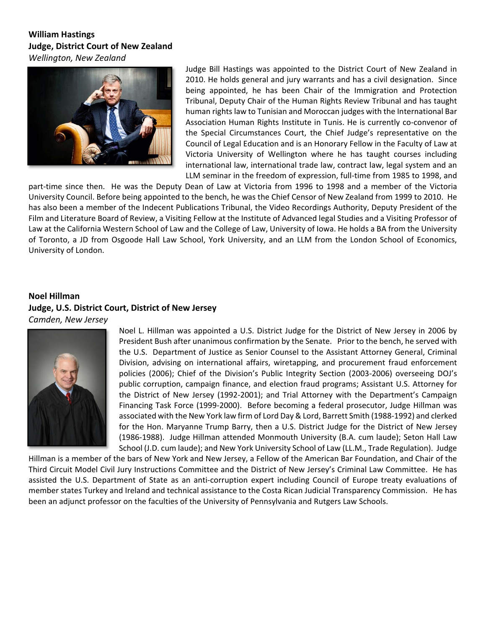#### **William Hastings Judge, District Court of New Zealand**  *Wellington, New Zealand*



Judge Bill Hastings was appointed to the District Court of New Zealand in 2010. He holds general and jury warrants and has a civil designation. Since being appointed, he has been Chair of the Immigration and Protection Tribunal, Deputy Chair of the Human Rights Review Tribunal and has taught human rights law to Tunisian and Moroccan judges with the International Bar Association Human Rights Institute in Tunis. He is currently co‐convenor of the Special Circumstances Court, the Chief Judge's representative on the Council of Legal Education and is an Honorary Fellow in the Faculty of Law at Victoria University of Wellington where he has taught courses including international law, international trade law, contract law, legal system and an LLM seminar in the freedom of expression, full‐time from 1985 to 1998, and

part-time since then. He was the Deputy Dean of Law at Victoria from 1996 to 1998 and a member of the Victoria University Council. Before being appointed to the bench, he was the Chief Censor of New Zealand from 1999 to 2010. He has also been a member of the Indecent Publications Tribunal, the Video Recordings Authority, Deputy President of the Film and Literature Board of Review, a Visiting Fellow at the Institute of Advanced legal Studies and a Visiting Professor of Law at the California Western School of Law and the College of Law, University of Iowa. He holds a BA from the University of Toronto, a JD from Osgoode Hall Law School, York University, and an LLM from the London School of Economics, University of London.

#### **Noel Hillman Judge, U.S. District Court, District of New Jersey**  *Camden, New Jersey*



Noel L. Hillman was appointed a U.S. District Judge for the District of New Jersey in 2006 by President Bush after unanimous confirmation by the Senate. Prior to the bench, he served with the U.S. Department of Justice as Senior Counsel to the Assistant Attorney General, Criminal Division, advising on international affairs, wiretapping, and procurement fraud enforcement policies (2006); Chief of the Division's Public Integrity Section (2003-2006) overseeing DOJ's public corruption, campaign finance, and election fraud programs; Assistant U.S. Attorney for the District of New Jersey (1992-2001); and Trial Attorney with the Department's Campaign Financing Task Force (1999-2000). Before becoming a federal prosecutor, Judge Hillman was associated with the New York law firm of Lord Day & Lord, Barrett Smith (1988‐1992) and clerked for the Hon. Maryanne Trump Barry, then a U.S. District Judge for the District of New Jersey (1986‐1988). Judge Hillman attended Monmouth University (B.A. cum laude); Seton Hall Law School (J.D. cum laude); and New York University School of Law (LL.M., Trade Regulation). Judge

Hillman is a member of the bars of New York and New Jersey, a Fellow of the American Bar Foundation, and Chair of the Third Circuit Model Civil Jury Instructions Committee and the District of New Jersey's Criminal Law Committee. He has assisted the U.S. Department of State as an anti-corruption expert including Council of Europe treaty evaluations of member states Turkey and Ireland and technical assistance to the Costa Rican Judicial Transparency Commission. He has been an adjunct professor on the faculties of the University of Pennsylvania and Rutgers Law Schools.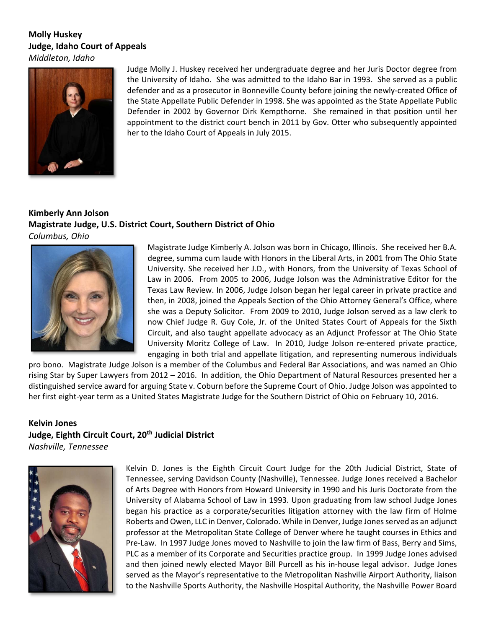#### **Molly Huskey Judge, Idaho Court of Appeals**  *Middleton, Idaho*



Judge Molly J. Huskey received her undergraduate degree and her Juris Doctor degree from the University of Idaho. She was admitted to the Idaho Bar in 1993. She served as a public defender and as a prosecutor in Bonneville County before joining the newly‐created Office of the State Appellate Public Defender in 1998. She was appointed as the State Appellate Public Defender in 2002 by Governor Dirk Kempthorne. She remained in that position until her appointment to the district court bench in 2011 by Gov. Otter who subsequently appointed her to the Idaho Court of Appeals in July 2015.

#### **Kimberly Ann Jolson Magistrate Judge, U.S. District Court, Southern District of Ohio**  *Columbus, Ohio*



Magistrate Judge Kimberly A. Jolson was born in Chicago, Illinois. She received her B.A. degree, summa cum laude with Honors in the Liberal Arts, in 2001 from The Ohio State University. She received her J.D., with Honors, from the University of Texas School of Law in 2006. From 2005 to 2006, Judge Jolson was the Administrative Editor for the Texas Law Review. In 2006, Judge Jolson began her legal career in private practice and then, in 2008, joined the Appeals Section of the Ohio Attorney General's Office, where she was a Deputy Solicitor. From 2009 to 2010, Judge Jolson served as a law clerk to now Chief Judge R. Guy Cole, Jr. of the United States Court of Appeals for the Sixth Circuit, and also taught appellate advocacy as an Adjunct Professor at The Ohio State University Moritz College of Law. In 2010, Judge Jolson re-entered private practice, engaging in both trial and appellate litigation, and representing numerous individuals

pro bono. Magistrate Judge Jolson is a member of the Columbus and Federal Bar Associations, and was named an Ohio rising Star by Super Lawyers from 2012 – 2016. In addition, the Ohio Department of Natural Resources presented her a distinguished service award for arguing State v. Coburn before the Supreme Court of Ohio. Judge Jolson was appointed to her first eight-year term as a United States Magistrate Judge for the Southern District of Ohio on February 10, 2016.

#### **Kelvin Jones**  Judge, Eighth Circuit Court, 20<sup>th</sup> Judicial District *Nashville, Tennessee*



Kelvin D. Jones is the Eighth Circuit Court Judge for the 20th Judicial District, State of Tennessee, serving Davidson County (Nashville), Tennessee. Judge Jones received a Bachelor of Arts Degree with Honors from Howard University in 1990 and his Juris Doctorate from the University of Alabama School of Law in 1993. Upon graduating from law school Judge Jones began his practice as a corporate/securities litigation attorney with the law firm of Holme Roberts and Owen, LLC in Denver, Colorado. While in Denver, Judge Jones served as an adjunct professor at the Metropolitan State College of Denver where he taught courses in Ethics and Pre‐Law. In 1997 Judge Jones moved to Nashville to join the law firm of Bass, Berry and Sims, PLC as a member of its Corporate and Securities practice group. In 1999 Judge Jones advised and then joined newly elected Mayor Bill Purcell as his in‐house legal advisor. Judge Jones served as the Mayor's representative to the Metropolitan Nashville Airport Authority, liaison to the Nashville Sports Authority, the Nashville Hospital Authority, the Nashville Power Board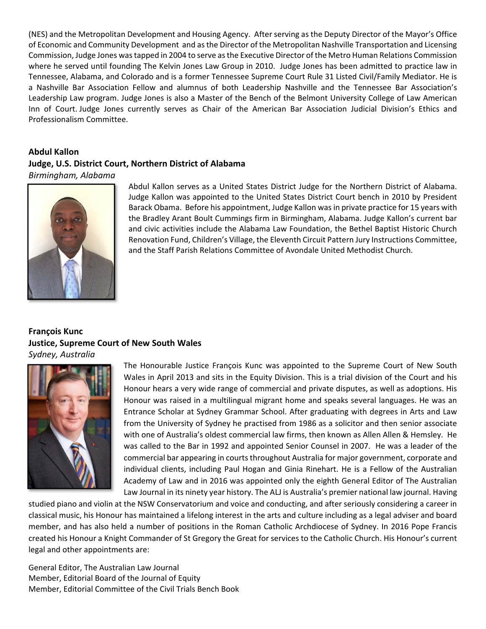(NES) and the Metropolitan Development and Housing Agency. After serving as the Deputy Director of the Mayor's Office of Economic and Community Development and as the Director of the Metropolitan Nashville Transportation and Licensing Commission, Judge Jones was tapped in 2004 to serve as the Executive Director of the Metro Human Relations Commission where he served until founding The Kelvin Jones Law Group in 2010. Judge Jones has been admitted to practice law in Tennessee, Alabama, and Colorado and is a former Tennessee Supreme Court Rule 31 Listed Civil/Family Mediator. He is a Nashville Bar Association Fellow and alumnus of both Leadership Nashville and the Tennessee Bar Association's Leadership Law program. Judge Jones is also a Master of the Bench of the Belmont University College of Law American Inn of Court. Judge Jones currently serves as Chair of the American Bar Association Judicial Division's Ethics and Professionalism Committee.

#### **Abdul Kallon Judge, U.S. District Court, Northern District of Alabama**  *Birmingham, Alabama*



Abdul Kallon serves as a United States District Judge for the Northern District of Alabama. Judge Kallon was appointed to the United States District Court bench in 2010 by President Barack Obama. Before his appointment, Judge Kallon was in private practice for 15 years with the Bradley Arant Boult Cummings firm in Birmingham, Alabama. Judge Kallon's current bar and civic activities include the Alabama Law Foundation, the Bethel Baptist Historic Church Renovation Fund, Children's Village, the Eleventh Circuit Pattern Jury Instructions Committee, and the Staff Parish Relations Committee of Avondale United Methodist Church.

#### **François Kunc Justice, Supreme Court of New South Wales**  *Sydney, Australia*



The Honourable Justice François Kunc was appointed to the Supreme Court of New South Wales in April 2013 and sits in the Equity Division. This is a trial division of the Court and his Honour hears a very wide range of commercial and private disputes, as well as adoptions. His Honour was raised in a multilingual migrant home and speaks several languages. He was an Entrance Scholar at Sydney Grammar School. After graduating with degrees in Arts and Law from the University of Sydney he practised from 1986 as a solicitor and then senior associate with one of Australia's oldest commercial law firms, then known as Allen Allen & Hemsley. He was called to the Bar in 1992 and appointed Senior Counsel in 2007. He was a leader of the commercial bar appearing in courts throughout Australia for major government, corporate and individual clients, including Paul Hogan and Ginia Rinehart. He is a Fellow of the Australian Academy of Law and in 2016 was appointed only the eighth General Editor of The Australian Law Journal in its ninety year history. The ALJ is Australia's premier national law journal. Having

studied piano and violin at the NSW Conservatorium and voice and conducting, and after seriously considering a career in classical music, his Honour has maintained a lifelong interest in the arts and culture including as a legal adviser and board member, and has also held a number of positions in the Roman Catholic Archdiocese of Sydney. In 2016 Pope Francis created his Honour a Knight Commander of St Gregory the Great for services to the Catholic Church. His Honour's current legal and other appointments are:

General Editor, The Australian Law Journal Member, Editorial Board of the Journal of Equity Member, Editorial Committee of the Civil Trials Bench Book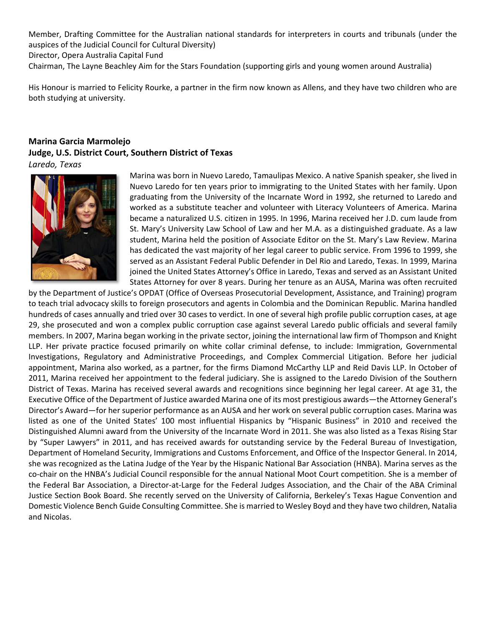Member, Drafting Committee for the Australian national standards for interpreters in courts and tribunals (under the auspices of the Judicial Council for Cultural Diversity) Director, Opera Australia Capital Fund Chairman, The Layne Beachley Aim for the Stars Foundation (supporting girls and young women around Australia)

His Honour is married to Felicity Rourke, a partner in the firm now known as Allens, and they have two children who are both studying at university.

#### **Marina Garcia Marmolejo Judge, U.S. District Court, Southern District of Texas**  *Laredo, Texas*



Marina was born in Nuevo Laredo, Tamaulipas Mexico. A native Spanish speaker, she lived in Nuevo Laredo for ten years prior to immigrating to the United States with her family. Upon graduating from the University of the Incarnate Word in 1992, she returned to Laredo and worked as a substitute teacher and volunteer with Literacy Volunteers of America. Marina became a naturalized U.S. citizen in 1995. In 1996, Marina received her J.D. cum laude from St. Mary's University Law School of Law and her M.A. as a distinguished graduate. As a law student, Marina held the position of Associate Editor on the St. Mary's Law Review. Marina has dedicated the vast majority of her legal career to public service. From 1996 to 1999, she served as an Assistant Federal Public Defender in Del Rio and Laredo, Texas. In 1999, Marina joined the United States Attorney's Office in Laredo, Texas and served as an Assistant United States Attorney for over 8 years. During her tenure as an AUSA, Marina was often recruited

by the Department of Justice's OPDAT (Office of Overseas Prosecutorial Development, Assistance, and Training) program to teach trial advocacy skills to foreign prosecutors and agents in Colombia and the Dominican Republic. Marina handled hundreds of cases annually and tried over 30 cases to verdict. In one of several high profile public corruption cases, at age 29, she prosecuted and won a complex public corruption case against several Laredo public officials and several family members. In 2007, Marina began working in the private sector, joining the international law firm of Thompson and Knight LLP. Her private practice focused primarily on white collar criminal defense, to include: Immigration, Governmental Investigations, Regulatory and Administrative Proceedings, and Complex Commercial Litigation. Before her judicial appointment, Marina also worked, as a partner, for the firms Diamond McCarthy LLP and Reid Davis LLP. In October of 2011, Marina received her appointment to the federal judiciary. She is assigned to the Laredo Division of the Southern District of Texas. Marina has received several awards and recognitions since beginning her legal career. At age 31, the Executive Office of the Department of Justice awarded Marina one of its most prestigious awards—the Attorney General's Director's Award—for her superior performance as an AUSA and her work on several public corruption cases. Marina was listed as one of the United States' 100 most influential Hispanics by "Hispanic Business" in 2010 and received the Distinguished Alumni award from the University of the Incarnate Word in 2011. She was also listed as a Texas Rising Star by "Super Lawyers" in 2011, and has received awards for outstanding service by the Federal Bureau of Investigation, Department of Homeland Security, Immigrations and Customs Enforcement, and Office of the Inspector General. In 2014, she was recognized as the Latina Judge of the Year by the Hispanic National Bar Association (HNBA). Marina serves as the co-chair on the HNBA's Judicial Council responsible for the annual National Moot Court competition. She is a member of the Federal Bar Association, a Director‐at‐Large for the Federal Judges Association, and the Chair of the ABA Criminal Justice Section Book Board. She recently served on the University of California, Berkeley's Texas Hague Convention and Domestic Violence Bench Guide Consulting Committee. She is married to Wesley Boyd and they have two children, Natalia and Nicolas.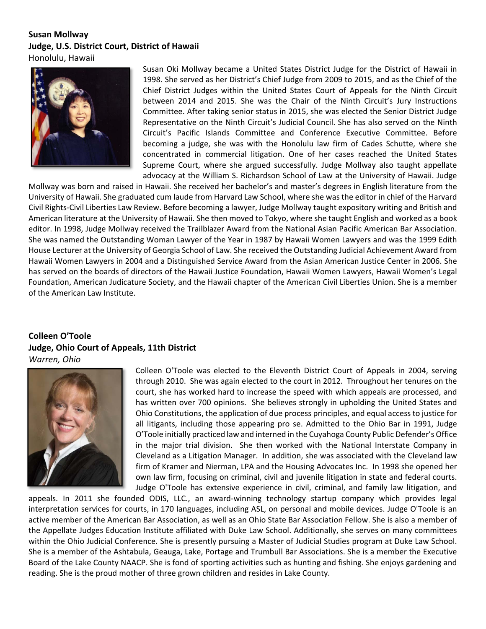## **Susan Mollway Judge, U.S. District Court, District of Hawaii**

Honolulu, Hawaii



Susan Oki Mollway became a United States District Judge for the District of Hawaii in 1998. She served as her District's Chief Judge from 2009 to 2015, and as the Chief of the Chief District Judges within the United States Court of Appeals for the Ninth Circuit between 2014 and 2015. She was the Chair of the Ninth Circuit's Jury Instructions Committee. After taking senior status in 2015, she was elected the Senior District Judge Representative on the Ninth Circuit's Judicial Council. She has also served on the Ninth Circuit's Pacific Islands Committee and Conference Executive Committee. Before becoming a judge, she was with the Honolulu law firm of Cades Schutte, where she concentrated in commercial litigation. One of her cases reached the United States Supreme Court, where she argued successfully. Judge Mollway also taught appellate advocacy at the William S. Richardson School of Law at the University of Hawaii. Judge

Mollway was born and raised in Hawaii. She received her bachelor's and master's degrees in English literature from the University of Hawaii. She graduated cum laude from Harvard Law School, where she was the editor in chief of the Harvard Civil Rights‐Civil Liberties Law Review. Before becoming a lawyer, Judge Mollway taught expository writing and British and American literature at the University of Hawaii. She then moved to Tokyo, where she taught English and worked as a book editor. In 1998, Judge Mollway received the Trailblazer Award from the National Asian Pacific American Bar Association. She was named the Outstanding Woman Lawyer of the Year in 1987 by Hawaii Women Lawyers and was the 1999 Edith House Lecturer at the University of Georgia School of Law. She received the Outstanding Judicial Achievement Award from Hawaii Women Lawyers in 2004 and a Distinguished Service Award from the Asian American Justice Center in 2006. She has served on the boards of directors of the Hawaii Justice Foundation, Hawaii Women Lawyers, Hawaii Women's Legal Foundation, American Judicature Society, and the Hawaii chapter of the American Civil Liberties Union. She is a member of the American Law Institute.

#### **Colleen O'Toole Judge, Ohio Court of Appeals, 11th District**  *Warren, Ohio*



Colleen O'Toole was elected to the Eleventh District Court of Appeals in 2004, serving through 2010. She was again elected to the court in 2012. Throughout her tenures on the court, she has worked hard to increase the speed with which appeals are processed, and has written over 700 opinions. She believes strongly in upholding the United States and Ohio Constitutions, the application of due process principles, and equal access to justice for all litigants, including those appearing pro se. Admitted to the Ohio Bar in 1991, Judge O'Toole initially practiced law and interned in the Cuyahoga County Public Defender's Office in the major trial division. She then worked with the National Interstate Company in Cleveland as a Litigation Manager. In addition, she was associated with the Cleveland law firm of Kramer and Nierman, LPA and the Housing Advocates Inc. In 1998 she opened her own law firm, focusing on criminal, civil and juvenile litigation in state and federal courts. Judge O'Toole has extensive experience in civil, criminal, and family law litigation, and

appeals. In 2011 she founded ODIS, LLC., an award‐winning technology startup company which provides legal interpretation services for courts, in 170 languages, including ASL, on personal and mobile devices. Judge O'Toole is an active member of the American Bar Association, as well as an Ohio State Bar Association Fellow. She is also a member of the Appellate Judges Education Institute affiliated with Duke Law School. Additionally, she serves on many committees within the Ohio Judicial Conference. She is presently pursuing a Master of Judicial Studies program at Duke Law School. She is a member of the Ashtabula, Geauga, Lake, Portage and Trumbull Bar Associations. She is a member the Executive Board of the Lake County NAACP. She is fond of sporting activities such as hunting and fishing. She enjoys gardening and reading. She is the proud mother of three grown children and resides in Lake County.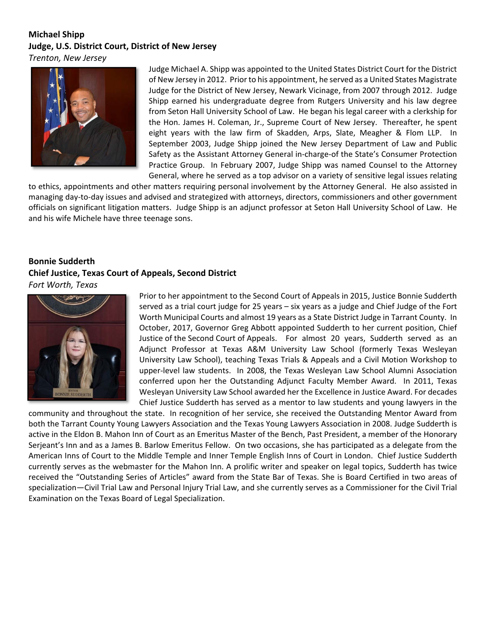## **Michael Shipp Judge, U.S. District Court, District of New Jersey**

*Trenton, New Jersey*



Judge Michael A. Shipp was appointed to the United States District Court for the District of New Jersey in 2012. Prior to his appointment, he served as a United States Magistrate Judge for the District of New Jersey, Newark Vicinage, from 2007 through 2012. Judge Shipp earned his undergraduate degree from Rutgers University and his law degree from Seton Hall University School of Law. He began his legal career with a clerkship for the Hon. James H. Coleman, Jr., Supreme Court of New Jersey. Thereafter, he spent eight years with the law firm of Skadden, Arps, Slate, Meagher & Flom LLP. In September 2003, Judge Shipp joined the New Jersey Department of Law and Public Safety as the Assistant Attorney General in‐charge‐of the State's Consumer Protection Practice Group. In February 2007, Judge Shipp was named Counsel to the Attorney General, where he served as a top advisor on a variety of sensitive legal issues relating

to ethics, appointments and other matters requiring personal involvement by the Attorney General. He also assisted in managing day‐to‐day issues and advised and strategized with attorneys, directors, commissioners and other government officials on significant litigation matters. Judge Shipp is an adjunct professor at Seton Hall University School of Law. He and his wife Michele have three teenage sons.

### **Bonnie Sudderth Chief Justice, Texas Court of Appeals, Second District**  *Fort Worth, Texas*



Prior to her appointment to the Second Court of Appeals in 2015, Justice Bonnie Sudderth served as a trial court judge for 25 years – six years as a judge and Chief Judge of the Fort Worth Municipal Courts and almost 19 years as a State District Judge in Tarrant County. In October, 2017, Governor Greg Abbott appointed Sudderth to her current position, Chief Justice of the Second Court of Appeals. For almost 20 years, Sudderth served as an Adjunct Professor at Texas A&M University Law School (formerly Texas Wesleyan University Law School), teaching Texas Trials & Appeals and a Civil Motion Workshop to upper‐level law students. In 2008, the Texas Wesleyan Law School Alumni Association conferred upon her the Outstanding Adjunct Faculty Member Award. In 2011, Texas Wesleyan University Law School awarded her the Excellence in Justice Award. For decades Chief Justice Sudderth has served as a mentor to law students and young lawyers in the

community and throughout the state. In recognition of her service, she received the Outstanding Mentor Award from both the Tarrant County Young Lawyers Association and the Texas Young Lawyers Association in 2008. Judge Sudderth is active in the Eldon B. Mahon Inn of Court as an Emeritus Master of the Bench, Past President, a member of the Honorary Serjeant's Inn and as a James B. Barlow Emeritus Fellow. On two occasions, she has participated as a delegate from the American Inns of Court to the Middle Temple and Inner Temple English Inns of Court in London. Chief Justice Sudderth currently serves as the webmaster for the Mahon Inn. A prolific writer and speaker on legal topics, Sudderth has twice received the "Outstanding Series of Articles" award from the State Bar of Texas. She is Board Certified in two areas of specialization—Civil Trial Law and Personal Injury Trial Law, and she currently serves as a Commissioner for the Civil Trial Examination on the Texas Board of Legal Specialization.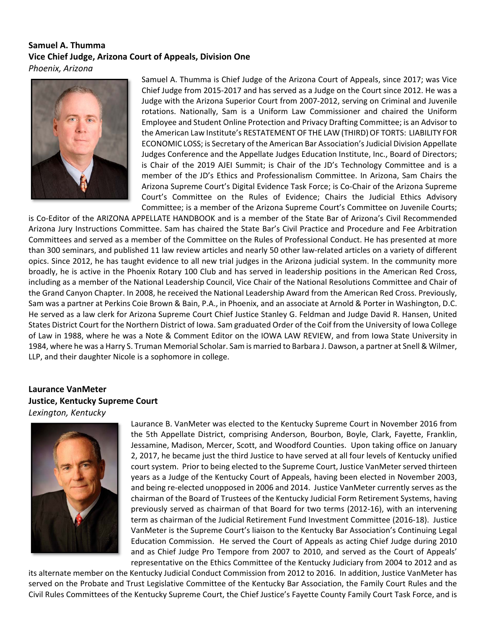#### **Samuel A. Thumma Vice Chief Judge, Arizona Court of Appeals, Division One**  *Phoenix, Arizona*



Samuel A. Thumma is Chief Judge of the Arizona Court of Appeals, since 2017; was Vice Chief Judge from 2015‐2017 and has served as a Judge on the Court since 2012. He was a Judge with the Arizona Superior Court from 2007‐2012, serving on Criminal and Juvenile rotations. Nationally, Sam is a Uniform Law Commissioner and chaired the Uniform Employee and Student Online Protection and Privacy Drafting Committee; is an Advisor to the American Law Institute's RESTATEMENT OF THE LAW (THIRD) OF TORTS: LIABILITY FOR ECONOMIC LOSS; is Secretary of the American Bar Association's Judicial Division Appellate Judges Conference and the Appellate Judges Education Institute, Inc., Board of Directors; is Chair of the 2019 AJEI Summit; is Chair of the JD's Technology Committee and is a member of the JD's Ethics and Professionalism Committee. In Arizona, Sam Chairs the Arizona Supreme Court's Digital Evidence Task Force; is Co‐Chair of the Arizona Supreme Court's Committee on the Rules of Evidence; Chairs the Judicial Ethics Advisory Committee; is a member of the Arizona Supreme Court's Committee on Juvenile Courts;

is Co‐Editor of the ARIZONA APPELLATE HANDBOOK and is a member of the State Bar of Arizona's Civil Recommended Arizona Jury Instructions Committee. Sam has chaired the State Bar's Civil Practice and Procedure and Fee Arbitration Committees and served as a member of the Committee on the Rules of Professional Conduct. He has presented at more than 300 seminars, and published 11 law review articles and nearly 50 other law‐related articles on a variety of different opics. Since 2012, he has taught evidence to all new trial judges in the Arizona judicial system. In the community more broadly, he is active in the Phoenix Rotary 100 Club and has served in leadership positions in the American Red Cross, including as a member of the National Leadership Council, Vice Chair of the National Resolutions Committee and Chair of the Grand Canyon Chapter. In 2008, he received the National Leadership Award from the American Red Cross. Previously, Sam was a partner at Perkins Coie Brown & Bain, P.A., in Phoenix, and an associate at Arnold & Porter in Washington, D.C. He served as a law clerk for Arizona Supreme Court Chief Justice Stanley G. Feldman and Judge David R. Hansen, United States District Court for the Northern District of Iowa. Sam graduated Order of the Coif from the University of Iowa College of Law in 1988, where he was a Note & Comment Editor on the IOWA LAW REVIEW, and from Iowa State University in 1984, where he was a Harry S. Truman Memorial Scholar. Sam is married to Barbara J. Dawson, a partner at Snell & Wilmer, LLP, and their daughter Nicole is a sophomore in college.

### **Laurance VanMeter Justice, Kentucky Supreme Court**

*Lexington, Kentucky*



Laurance B. VanMeter was elected to the Kentucky Supreme Court in November 2016 from the 5th Appellate District, comprising Anderson, Bourbon, Boyle, Clark, Fayette, Franklin, Jessamine, Madison, Mercer, Scott, and Woodford Counties. Upon taking office on January 2, 2017, he became just the third Justice to have served at all four levels of Kentucky unified court system. Prior to being elected to the Supreme Court, Justice VanMeter served thirteen years as a Judge of the Kentucky Court of Appeals, having been elected in November 2003, and being re‐elected unopposed in 2006 and 2014. Justice VanMeter currently serves as the chairman of the Board of Trustees of the Kentucky Judicial Form Retirement Systems, having previously served as chairman of that Board for two terms (2012‐16), with an intervening term as chairman of the Judicial Retirement Fund Investment Committee (2016‐18). Justice VanMeter is the Supreme Court's liaison to the Kentucky Bar Association's Continuing Legal Education Commission. He served the Court of Appeals as acting Chief Judge during 2010 and as Chief Judge Pro Tempore from 2007 to 2010, and served as the Court of Appeals' representative on the Ethics Committee of the Kentucky Judiciary from 2004 to 2012 and as

its alternate member on the Kentucky Judicial Conduct Commission from 2012 to 2016. In addition, Justice VanMeter has served on the Probate and Trust Legislative Committee of the Kentucky Bar Association, the Family Court Rules and the Civil Rules Committees of the Kentucky Supreme Court, the Chief Justice's Fayette County Family Court Task Force, and is